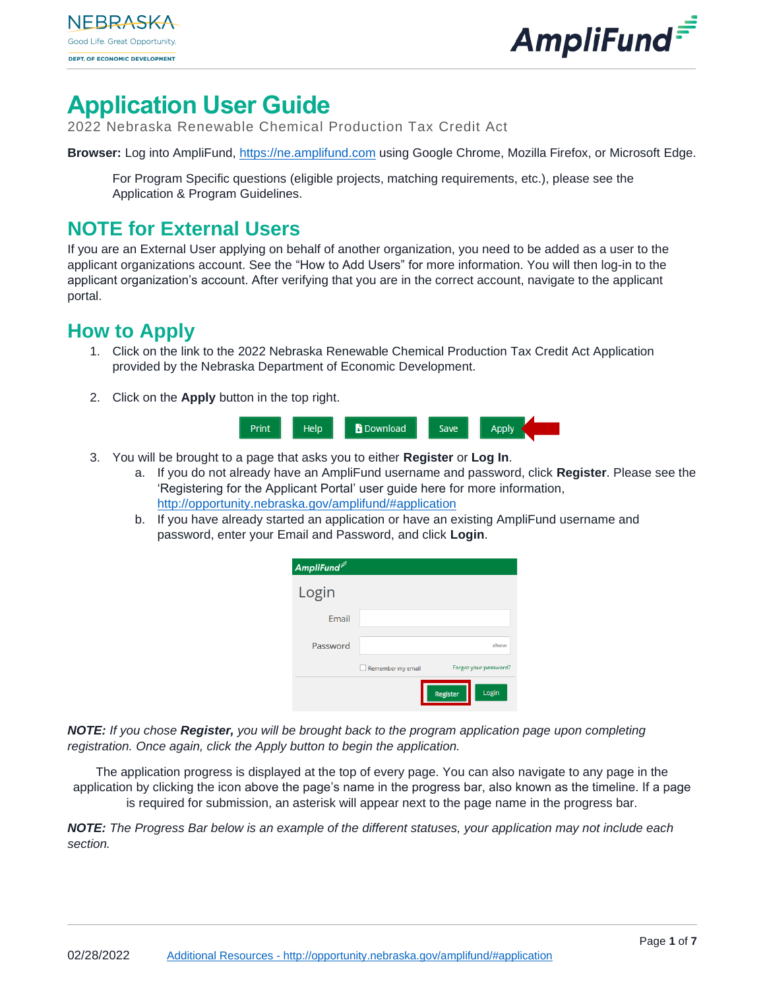



# **Application User Guide**

2022 Nebraska Renewable Chemical Production Tax Credit Act

**Browser:** Log into AmpliFund, [https://ne.amplifund.com](https://ne.amplifund.com/) using Google Chrome, Mozilla Firefox, or Microsoft Edge.

For Program Specific questions (eligible projects, matching requirements, etc.), please see the Application & Program Guidelines.

## **NOTE for External Users**

If you are an External User applying on behalf of another organization, you need to be added as a user to the applicant organizations account. See the "How to Add Users" for more information. You will then log-in to the applicant organization's account. After verifying that you are in the correct account, navigate to the applicant portal.

## **How to Apply**

- 1. Click on the link to the 2022 Nebraska Renewable Chemical Production Tax Credit Act Application provided by the Nebraska Department of Economic Development.
- 2. Click on the **Apply** button in the top right.



- 3. You will be brought to a page that asks you to either **Register** or **Log In**.
	- a. If you do not already have an AmpliFund username and password, click **Register**. Please see the 'Registering for the Applicant Portal' user guide here for more information, <http://opportunity.nebraska.gov/amplifund/#application>
	- b. If you have already started an application or have an existing AmpliFund username and password, enter your Email and Password, and click **Login**.

| AmpliFund <sup>=1</sup> |                   |                       |
|-------------------------|-------------------|-----------------------|
| Login                   |                   |                       |
| Email                   |                   |                       |
| Password                |                   | show                  |
|                         | Remember my email | Forgot your password? |
|                         |                   | Login<br>Register     |

*NOTE: If you chose Register, you will be brought back to the program application page upon completing registration. Once again, click the Apply button to begin the application.*

The application progress is displayed at the top of every page. You can also navigate to any page in the application by clicking the icon above the page's name in the progress bar, also known as the timeline. If a page is required for submission, an asterisk will appear next to the page name in the progress bar.

*NOTE: The Progress Bar below is an example of the different statuses, your application may not include each section.*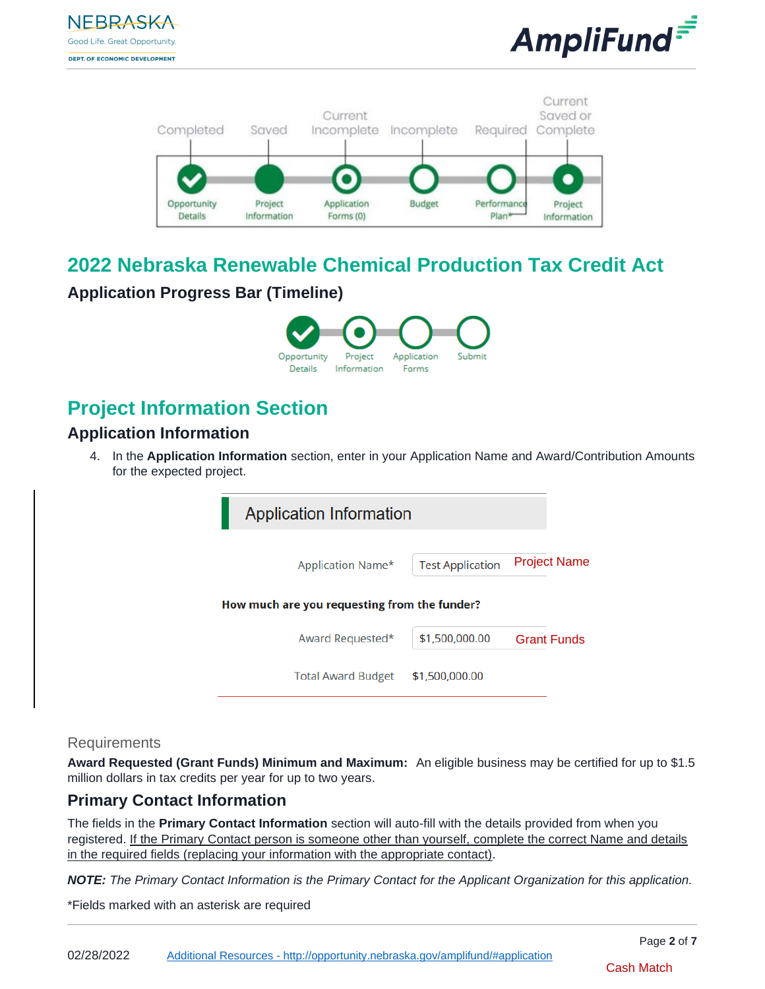





## **2022 Nebraska Renewable Chemical Production Tax Credit Act**

## **Application Progress Bar (Timeline)**



## **Project Information Section**

## **Application Information**

4. In the **Application Information** section, enter in your Application Name and Award/Contribution Amounts for the expected project.

| <b>Test Application</b> | <b>Project Name</b>                                                                                  |
|-------------------------|------------------------------------------------------------------------------------------------------|
|                         |                                                                                                      |
| \$1,500,000.00          | <b>Grant Funds</b>                                                                                   |
| \$1,500,000.00          |                                                                                                      |
|                         | <b>Application Information</b><br>How much are you requesting from the funder?<br>Total Award Budget |

#### **Requirements**

**Award Requested (Grant Funds) Minimum and Maximum:** An eligible business may be certified for up to \$1.5 million dollars in tax credits per year for up to two years.

### **Primary Contact Information**

The fields in the **Primary Contact Information** section will auto-fill with the details provided from when you registered. If the Primary Contact person is someone other than yourself, complete the correct Name and details in the required fields (replacing your information with the appropriate contact).

*NOTE: The Primary Contact Information is the Primary Contact for the Applicant Organization for this application.* 

\*Fields marked with an asterisk are required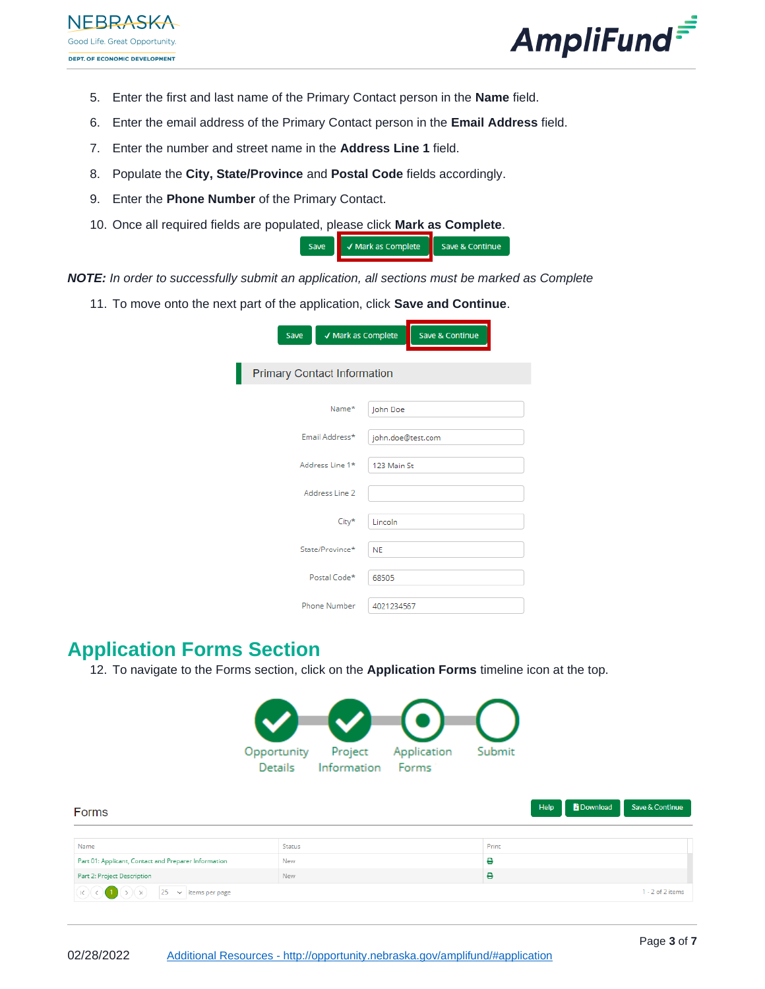

- 5. Enter the first and last name of the Primary Contact person in the **Name** field.
- 6. Enter the email address of the Primary Contact person in the **Email Address** field.
- 7. Enter the number and street name in the **Address Line 1** field.
- 8. Populate the **City, State/Province** and **Postal Code** fields accordingly.
- 9. Enter the **Phone Number** of the Primary Contact.
- 10. Once all required fields are populated, please click **Mark as Complete**.

| √ Mark as Complete | Save & Continue |
|--------------------|-----------------|
|                    |                 |

- *NOTE: In order to successfully submit an application, all sections must be marked as Complete*
	- 11. To move onto the next part of the application, click **Save and Continue**.

| √ Mark as Complete<br>Save         | Save & Continue   |
|------------------------------------|-------------------|
| <b>Primary Contact Information</b> |                   |
| Name*                              | John Doe          |
| Email Address*                     | john.doe@test.com |
| Address Line 1*                    | 123 Main St       |
| Address Line 2                     |                   |
| City*                              | Lincoln           |
| State/Province*                    | <b>NE</b>         |
| Postal Code*                       | 68505             |
| Phone Number                       | 4021234567        |

## **Application Forms Section**

12. To navigate to the Forms section, click on the **Application Forms** timeline icon at the top.



| Forms                                                                                                                                                                             |            |       | <b>Download</b><br>Help | Save & Continue    |
|-----------------------------------------------------------------------------------------------------------------------------------------------------------------------------------|------------|-------|-------------------------|--------------------|
|                                                                                                                                                                                   |            |       |                         |                    |
| Name                                                                                                                                                                              | Status     | Print |                         |                    |
| Part 01: Applicant, Contact and Preparer Information                                                                                                                              | New        | ₿     |                         |                    |
| Part 2: Project Description                                                                                                                                                       | <b>New</b> | e     |                         |                    |
| $\overline{R}$ ( $R$ ) $\overline{R}$ ( $R$ ) $\overline{R}$ ( $\overline{R}$ ) $\overline{R}$ ( $\overline{R}$ ) $\overline{R}$ ( $\overline{R}$ ) $\overline{R}$ (tems per page |            |       |                         | $1 - 2$ of 2 items |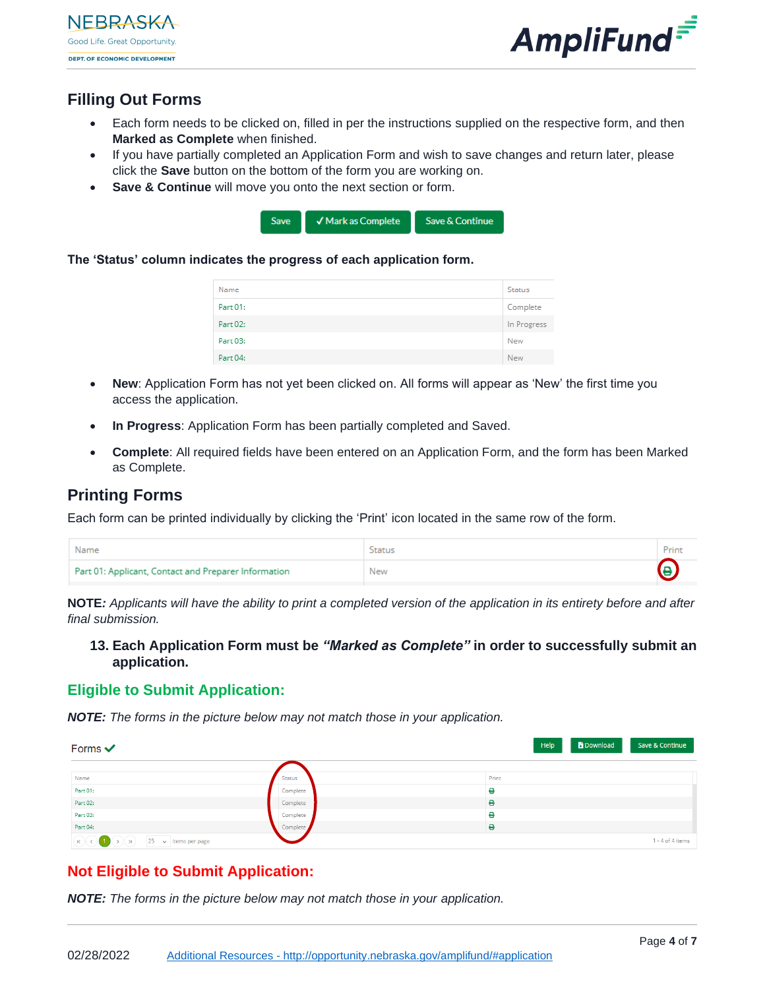



## **Filling Out Forms**

- Each form needs to be clicked on, filled in per the instructions supplied on the respective form, and then **Marked as Complete** when finished.
- If you have partially completed an Application Form and wish to save changes and return later, please click the **Save** button on the bottom of the form you are working on.
- **Save & Continue** will move you onto the next section or form.



**The 'Status' column indicates the progress of each application form.** 

| Name     | Status      |
|----------|-------------|
| Part 01: | Complete    |
| Part 02: | In Progress |
| Part 03: | New         |
| Part 04: | New         |

- **New**: Application Form has not yet been clicked on. All forms will appear as 'New' the first time you access the application.
- **In Progress**: Application Form has been partially completed and Saved.
- **Complete**: All required fields have been entered on an Application Form, and the form has been Marked as Complete.

#### **Printing Forms**

Each form can be printed individually by clicking the 'Print' icon located in the same row of the form.

| Name                                                 | Status |  |
|------------------------------------------------------|--------|--|
| Part 01: Applicant, Contact and Preparer Information | New    |  |

**NOTE***: Applicants will have the ability to print a completed version of the application in its entirety before and after final submission.*

**13. Each Application Form must be** *"Marked as Complete"* **in order to successfully submit an application.**

#### **Eligible to Submit Application:**

*NOTE: The forms in the picture below may not match those in your application.*

| Forms $\checkmark$                                                                                                                                                                                                                                                                                                                   |          | <b>b</b> Download<br>Save & Continue<br>Help |
|--------------------------------------------------------------------------------------------------------------------------------------------------------------------------------------------------------------------------------------------------------------------------------------------------------------------------------------|----------|----------------------------------------------|
|                                                                                                                                                                                                                                                                                                                                      |          |                                              |
| Name                                                                                                                                                                                                                                                                                                                                 | Status   | Print                                        |
| Part 01:                                                                                                                                                                                                                                                                                                                             | Complete | θ                                            |
| Part 02:                                                                                                                                                                                                                                                                                                                             | Complete | θ                                            |
| Part 03:                                                                                                                                                                                                                                                                                                                             | Complete | $\ddot{ }$                                   |
| Part 04:                                                                                                                                                                                                                                                                                                                             | Complete | e                                            |
| $\overline{R}$ ( $\overline{R}$ ) ( $\overline{R}$ ) ( $\overline{R}$ ) ( $\overline{R}$ ) ( $\overline{R}$ ) ( $\overline{R}$ ) ( $\overline{R}$ ) ( $\overline{R}$ ) ( $\overline{R}$ ) ( $\overline{R}$ ) ( $\overline{R}$ ) ( $\overline{R}$ ) ( $\overline{R}$ ) ( $\overline{R}$ ) ( $\overline{R}$ ) ( $\overline{R}$ ) ( $\$ |          | $1 - 4$ of $4$ items                         |

### **Not Eligible to Submit Application:**

*NOTE: The forms in the picture below may not match those in your application.*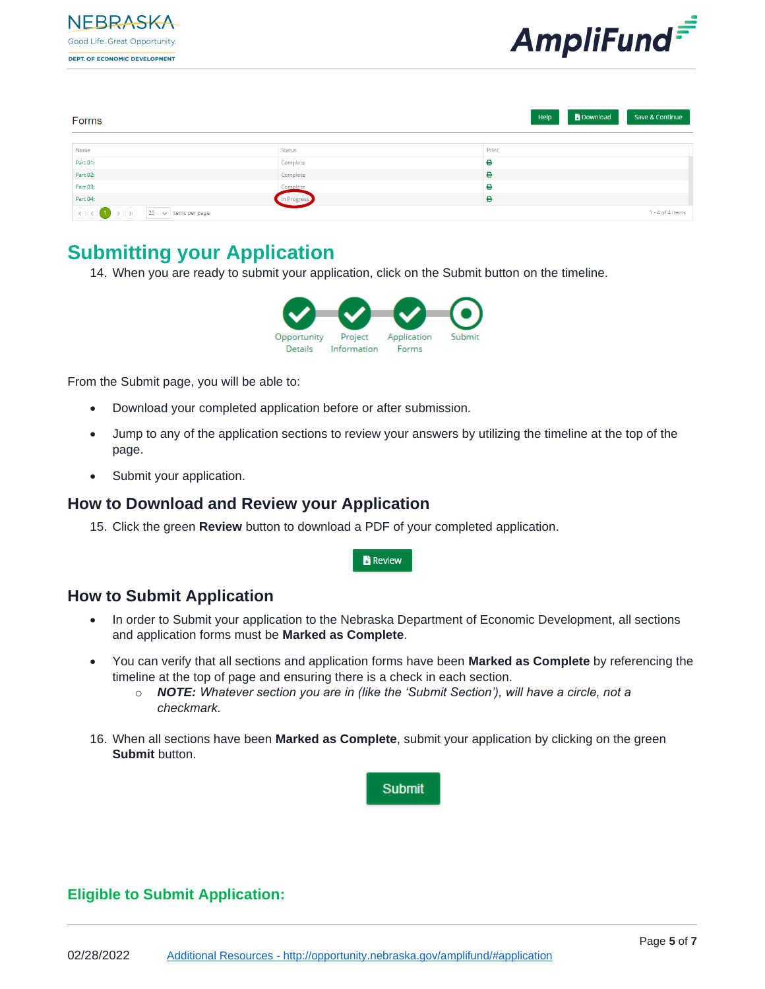



| Forms                                                                                           |             | <b>B</b> Download<br>Save & Continue<br>Help |
|-------------------------------------------------------------------------------------------------|-------------|----------------------------------------------|
| Name                                                                                            | Status      | Print                                        |
| Part 01:                                                                                        | Complete    | θ                                            |
| Part 02:                                                                                        | Complete    | ٠                                            |
| Part 03:                                                                                        | Complete    | θ                                            |
| Part 04:                                                                                        | In Progress | ٠                                            |
| $\boxed{(\mathsf{k}) \odot (\mathsf{k})}$ (b) $\boxed{25 \rightarrow \mathsf{items} }$ per page |             | $1 - 4$ of $4$ items                         |

## **Submitting your Application**

14. When you are ready to submit your application, click on the Submit button on the timeline.



From the Submit page, you will be able to:

- Download your completed application before or after submission.
- Jump to any of the application sections to review your answers by utilizing the timeline at the top of the page.
- Submit your application.

### **How to Download and Review your Application**

15. Click the green **Review** button to download a PDF of your completed application.



### **How to Submit Application**

- In order to Submit your application to the Nebraska Department of Economic Development, all sections and application forms must be **Marked as Complete**.
- You can verify that all sections and application forms have been **Marked as Complete** by referencing the timeline at the top of page and ensuring there is a check in each section.
	- o *NOTE: Whatever section you are in (like the 'Submit Section'), will have a circle, not a checkmark.*
- 16. When all sections have been **Marked as Complete**, submit your application by clicking on the green **Submit** button.



### **Eligible to Submit Application:**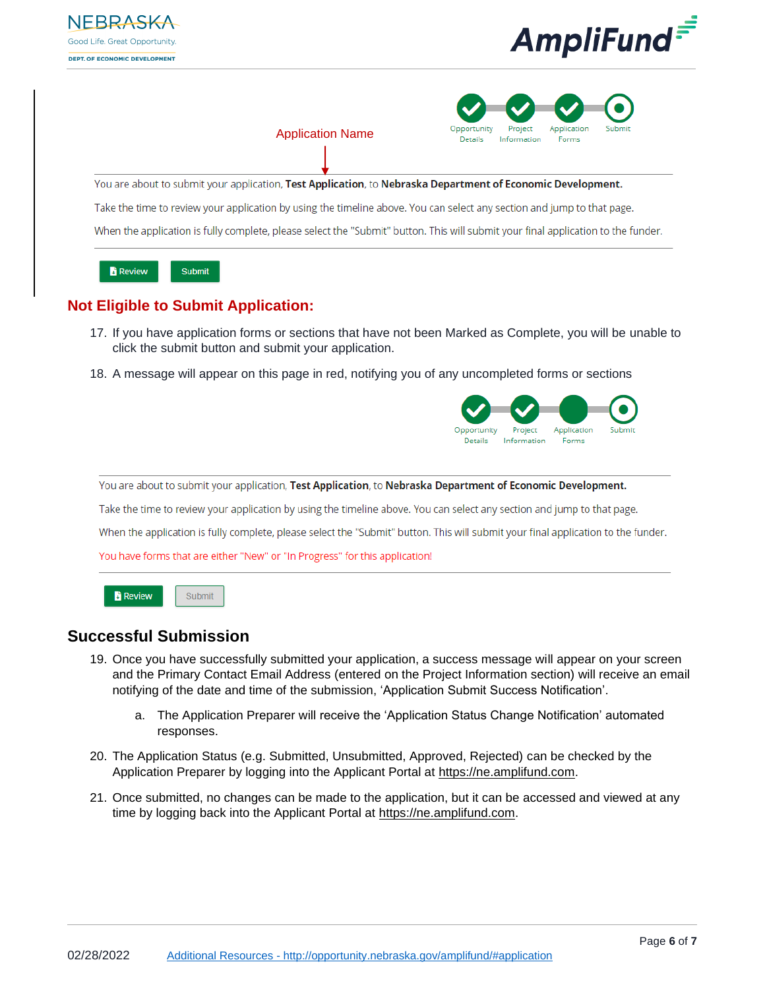





Submit

**Review** 

- 19. Once you have successfully submitted your application, a success message will appear on your screen and the Primary Contact Email Address (entered on the Project Information section) will receive an email notifying of the date and time of the submission, 'Application Submit Success Notification'.
	- a. The Application Preparer will receive the 'Application Status Change Notification' automated responses.
- 20. The Application Status (e.g. Submitted, Unsubmitted, Approved, Rejected) can be checked by the Application Preparer by logging into the Applicant Portal at [https://ne.amplifund.com.](https://ne.amplifund.com/)
- 21. Once submitted, no changes can be made to the application, but it can be accessed and viewed at any time by logging back into the Applicant Portal at [https://ne.amplifund.com.](https://ne.amplifund.com/)